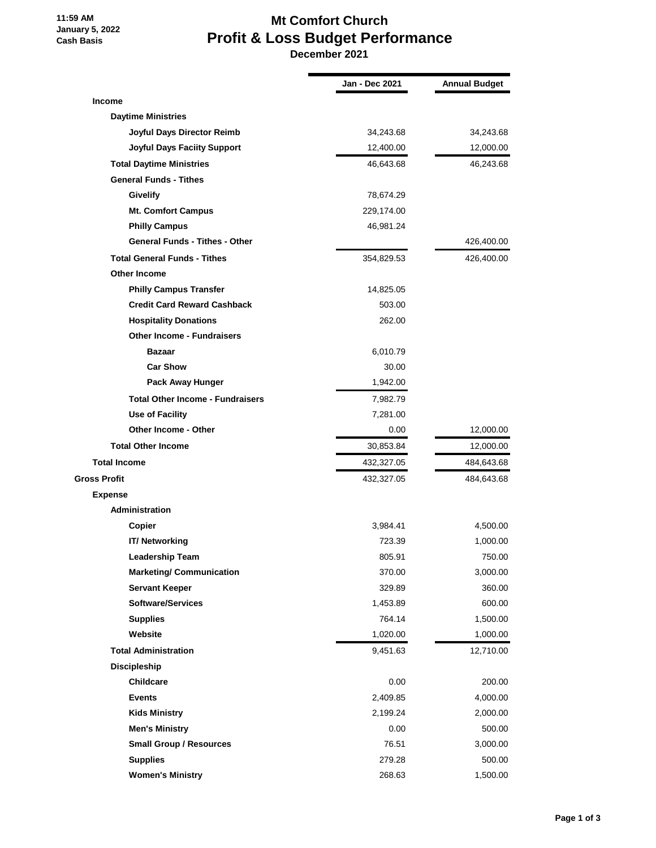## **11:59 AM January 5, 2022 Cash Basis**

## **Mt Comfort Church Profit & Loss Budget Performance**

 **December 2021**

|                                         | Jan - Dec 2021 | <b>Annual Budget</b> |
|-----------------------------------------|----------------|----------------------|
| <b>Income</b>                           |                |                      |
| <b>Daytime Ministries</b>               |                |                      |
| Joyful Days Director Reimb              | 34,243.68      | 34,243.68            |
| <b>Joyful Days Faciity Support</b>      | 12,400.00      | 12,000.00            |
| <b>Total Daytime Ministries</b>         | 46,643.68      | 46,243.68            |
| <b>General Funds - Tithes</b>           |                |                      |
| <b>Givelify</b>                         | 78,674.29      |                      |
| <b>Mt. Comfort Campus</b>               | 229,174.00     |                      |
| <b>Philly Campus</b>                    | 46,981.24      |                      |
| <b>General Funds - Tithes - Other</b>   |                | 426,400.00           |
| <b>Total General Funds - Tithes</b>     | 354,829.53     | 426,400.00           |
| <b>Other Income</b>                     |                |                      |
| <b>Philly Campus Transfer</b>           | 14,825.05      |                      |
| <b>Credit Card Reward Cashback</b>      | 503.00         |                      |
| <b>Hospitality Donations</b>            | 262.00         |                      |
| <b>Other Income - Fundraisers</b>       |                |                      |
| <b>Bazaar</b>                           | 6,010.79       |                      |
| <b>Car Show</b>                         | 30.00          |                      |
| Pack Away Hunger                        | 1,942.00       |                      |
| <b>Total Other Income - Fundraisers</b> | 7,982.79       |                      |
| Use of Facility                         | 7,281.00       |                      |
| <b>Other Income - Other</b>             | 0.00           | 12,000.00            |
| <b>Total Other Income</b>               | 30,853.84      | 12,000.00            |
| <b>Total Income</b>                     | 432,327.05     | 484,643.68           |
| Gross Profit                            | 432,327.05     | 484,643.68           |
| <b>Expense</b>                          |                |                      |
| <b>Administration</b>                   |                |                      |
| Copier                                  | 3,984.41       | 4,500.00             |
| <b>IT/ Networking</b>                   | 723.39         | 1,000.00             |
| <b>Leadership Team</b>                  | 805.91         | 750.00               |
| <b>Marketing/ Communication</b>         | 370.00         | 3,000.00             |
| <b>Servant Keeper</b>                   | 329.89         | 360.00               |
| <b>Software/Services</b>                | 1,453.89       | 600.00               |
| <b>Supplies</b>                         | 764.14         | 1,500.00             |
| Website                                 | 1,020.00       | 1,000.00             |
| <b>Total Administration</b>             | 9,451.63       | 12,710.00            |
| Discipleship                            |                |                      |
| Childcare                               | 0.00           | 200.00               |
| <b>Events</b>                           | 2,409.85       | 4,000.00             |
| <b>Kids Ministry</b>                    | 2,199.24       | 2,000.00             |
| <b>Men's Ministry</b>                   | 0.00           | 500.00               |
| <b>Small Group / Resources</b>          | 76.51          | 3,000.00             |
| <b>Supplies</b>                         | 279.28         | 500.00               |
| <b>Women's Ministry</b>                 | 268.63         | 1,500.00             |
|                                         |                |                      |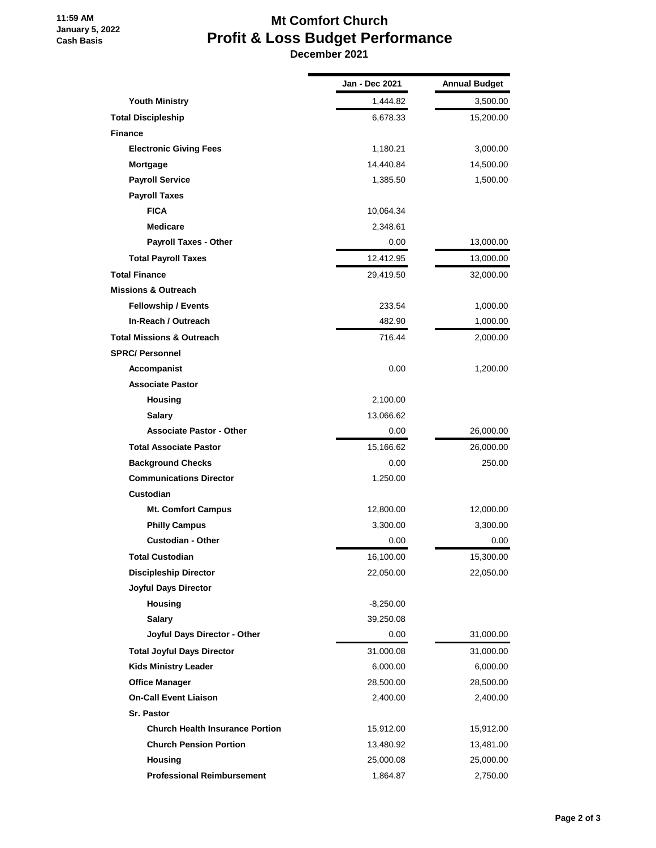**11:59 AM January 5, 2022 Cash Basis**

## **Mt Comfort Church Profit & Loss Budget Performance**

 **December 2021**

|                                        | Jan - Dec 2021 | <b>Annual Budget</b> |
|----------------------------------------|----------------|----------------------|
| <b>Youth Ministry</b>                  | 1,444.82       | 3,500.00             |
| <b>Total Discipleship</b>              | 6,678.33       | 15,200.00            |
| <b>Finance</b>                         |                |                      |
| <b>Electronic Giving Fees</b>          | 1,180.21       | 3,000.00             |
| Mortgage                               | 14,440.84      | 14,500.00            |
| <b>Payroll Service</b>                 | 1,385.50       | 1,500.00             |
| <b>Payroll Taxes</b>                   |                |                      |
| <b>FICA</b>                            | 10,064.34      |                      |
| <b>Medicare</b>                        | 2,348.61       |                      |
| Payroll Taxes - Other                  | 0.00           | 13,000.00            |
| <b>Total Payroll Taxes</b>             | 12,412.95      | 13,000.00            |
| <b>Total Finance</b>                   | 29,419.50      | 32,000.00            |
| <b>Missions &amp; Outreach</b>         |                |                      |
| <b>Fellowship / Events</b>             | 233.54         | 1,000.00             |
| In-Reach / Outreach                    | 482.90         | 1,000.00             |
| <b>Total Missions &amp; Outreach</b>   | 716.44         | 2,000.00             |
| <b>SPRC/Personnel</b>                  |                |                      |
| Accompanist                            | 0.00           | 1,200.00             |
| <b>Associate Pastor</b>                |                |                      |
| <b>Housing</b>                         | 2,100.00       |                      |
| <b>Salary</b>                          | 13,066.62      |                      |
| <b>Associate Pastor - Other</b>        | 0.00           | 26,000.00            |
| <b>Total Associate Pastor</b>          | 15,166.62      | 26,000.00            |
| <b>Background Checks</b>               | 0.00           | 250.00               |
| <b>Communications Director</b>         | 1,250.00       |                      |
| <b>Custodian</b>                       |                |                      |
| <b>Mt. Comfort Campus</b>              | 12,800.00      | 12,000.00            |
| <b>Philly Campus</b>                   | 3,300.00       | 3,300.00             |
| <b>Custodian - Other</b>               | 0.00           | 0.00                 |
| Total Custodian                        | 16,100.00      | 15,300.00            |
| <b>Discipleship Director</b>           | 22,050.00      | 22,050.00            |
| Joyful Days Director                   |                |                      |
| <b>Housing</b>                         | $-8,250.00$    |                      |
| <b>Salary</b>                          | 39,250.08      |                      |
| Joyful Days Director - Other           | 0.00           | 31,000.00            |
| <b>Total Joyful Days Director</b>      | 31,000.08      | 31,000.00            |
| <b>Kids Ministry Leader</b>            | 6,000.00       | 6,000.00             |
| <b>Office Manager</b>                  | 28,500.00      | 28,500.00            |
| <b>On-Call Event Liaison</b>           | 2,400.00       | 2,400.00             |
| <b>Sr. Pastor</b>                      |                |                      |
| <b>Church Health Insurance Portion</b> | 15,912.00      | 15,912.00            |
| <b>Church Pension Portion</b>          | 13,480.92      | 13,481.00            |
| Housing                                | 25,000.08      | 25,000.00            |
| <b>Professional Reimbursement</b>      | 1,864.87       | 2,750.00             |